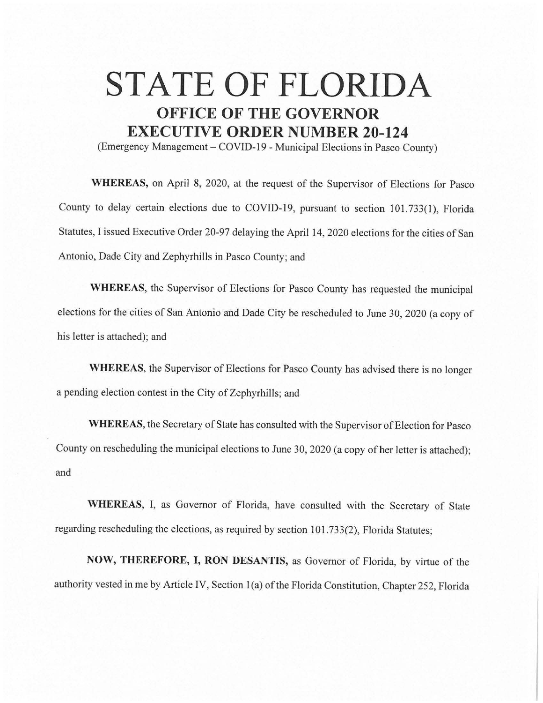## **STATE OF FLORIDA OFFICE OF THE GOVERNOR EXECUTIVE ORDER NUMBER 20-124**

(Emergency Management – COVID-19 - Municipal Elections in Pasco County)

**WHEREAS,** on April 8, 2020, at the request of the Supervisor of Elections for Pasco County to delay certain elections due to COVID-19, pursuant to section 101.733(1), Florida Statutes, I issued Executive Order 20-97 delaying the April 14, 2020 elections for the cities of San Antonio, Dade City and Zephyrhills in Pasco County; and

**WHEREAS,** the Supervisor of Elections for Pasco County has requested the municipal elections for the cities of San Antonio and Dade City be rescheduled to June 30, 2020 (a copy of his letter is attached); and

**WHEREAS,** the Supervisor of Elections for Pasco County has advised there is no longer a pending election contest in the City of Zephyrhills; and

**WHEREAS,** the Secretary of State has consulted with the Supervisor of Election for Pasco County on rescheduling the municipal elections to June 30, 2020 (a copy of her letter is attached); and

**WHEREAS,** I, as Governor of Florida, have consulted with the Secretary of State regarding rescheduling the elections, as required by section 101.733(2), Florida Statutes;

**NOW, THEREFORE, I, RON DESANTIS,** as Governor of Florida, by virtue of the authority vested in me by Article IV, Section 1(a) of the Florida Constitution, Chapter 252, Florida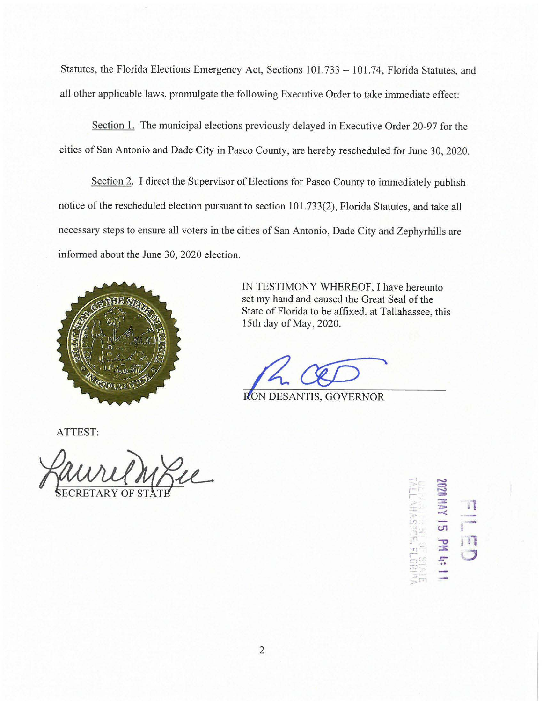Statutes, the Florida Elections Emergency Act, Sections 101.733 - 101.74, Florida Statutes, and all other applicable laws, promulgate the following Executive Order to take immediate effect:

Section I. The municipal elections previously delayed in Executive Order 20-97 for the cities of San Antonio and Dade City in Pasco County, are hereby rescheduled for June 30, 2020.

Section 2. I direct the Supervisor of Elections for Pasco County to immediately publish notice of the rescheduled election pursuant to section 101.733(2), Florida Statutes, and take all necessary steps to ensure all voters in the cities of San Antonio, Dade City and Zephyrhills are informed about the June 30, 2020 election.



IN TESTIMONY WHEREOF, I have hereunto set my hand and caused the Great Seal of the State of Florida to be affixed, at Tallahassee, this 15th day of May, 2020.

RON DESANTIS, GOVERNOR

ATTEST:



 $\frac{1}{2}$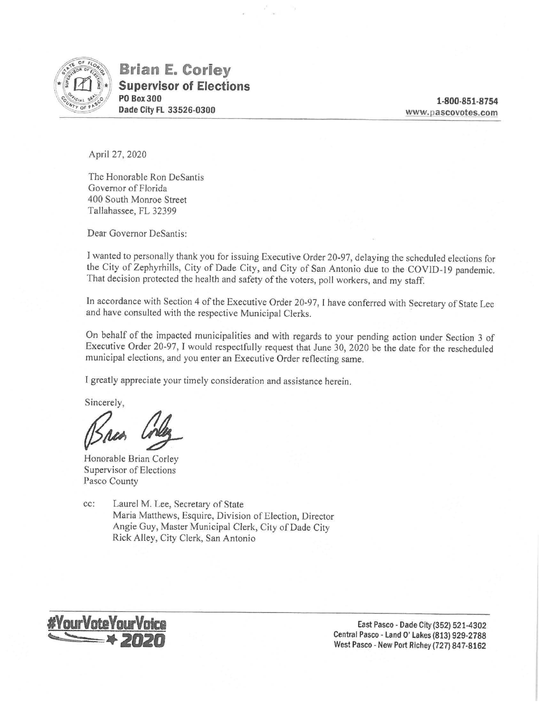

**Brian E. Coriey Supervisor of Elections PO Box300 Dade City FL 33526-0300** 

**1-800-851-8754 www.pascovotes.com** 

April 27, 2020

The Honorable Ron DeSantis Governor of Florida 400 South Monroe Street Tallahassee, FL 32399

Dear Governor DeSantis:

I wanted to personally thank you for issuing Executive Order 20-97, delaying the scheduled elections for the City of Zephyrhills, City of Dade City, and City of San Antonio due to the COVlD-19 pandemic. That decision protected the health and safety of the voters, poll workers, and my staff.

In accordance with Section 4 of the Executive Order 20-97, I have conferred with Secretary of State Lee and have consulted with the respective Municipal Clerks.

On behalf of the impacted municipalities and with regards to your pending action under Section 3 of Executive Order 20-97, I would respectfully request that June 30, 2020 be the date for the rescheduled municipal elections, and you enter an Executive Order reflecting same.

I greatly appreciate your timely consideration and assistance herein.

Sincerely,

Bren Coleg

Honorable Brian Corley Supervisor of Elections Pasco County

cc: Laurel M. Lee, Secretary of State Maria Matthews, Esquire, Division of Election, Director Angie Guy, Master Municipal Clerk, City of Dade City Rick Alley, City Clerk, San Antonio



East Pasco - Dade City (352) 521-4302 Central Pasco - Land O'Lakes (813) 929-2788 West Pasco - New Port Richey (727) 847-8162